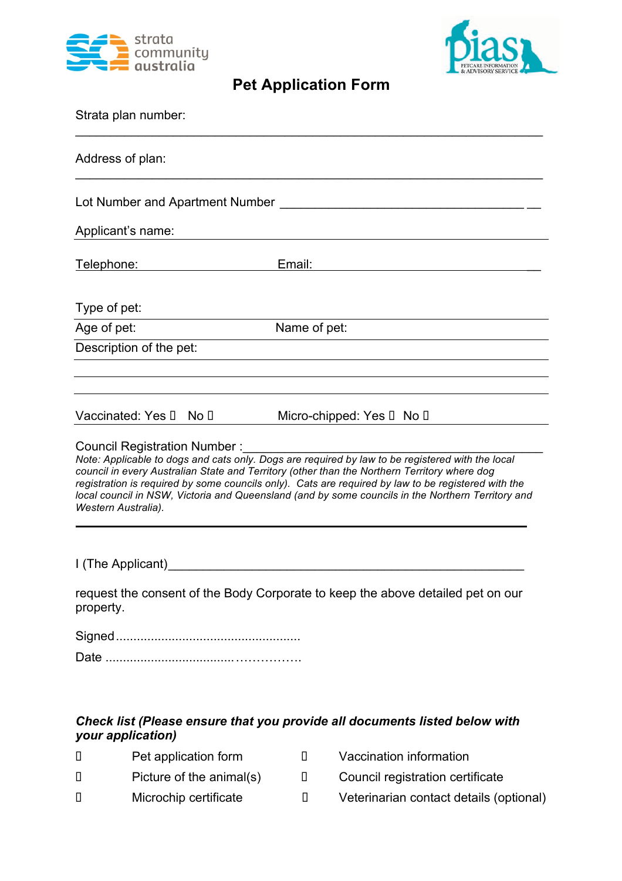



## **Pet Application Form**

| Strata plan number:                                                                                                                                                                                                                                                                                                                                                                                                                                                  |  |  |
|----------------------------------------------------------------------------------------------------------------------------------------------------------------------------------------------------------------------------------------------------------------------------------------------------------------------------------------------------------------------------------------------------------------------------------------------------------------------|--|--|
| Address of plan:                                                                                                                                                                                                                                                                                                                                                                                                                                                     |  |  |
|                                                                                                                                                                                                                                                                                                                                                                                                                                                                      |  |  |
| Applicant's name:                                                                                                                                                                                                                                                                                                                                                                                                                                                    |  |  |
| Email:<br><u>Telephone: with the contract of the contract of the contract of the contract of the contract of the contract of the contract of the contract of the contract of the contract of the contract of the contract of the contract </u><br><u> 1980 - Jan Stein Stein Stein Stein Stein Stein Stein Stein Stein Stein Stein Stein Stein Stein Stein Stein S</u>                                                                                               |  |  |
| Type of pet:                                                                                                                                                                                                                                                                                                                                                                                                                                                         |  |  |
| Name of pet:<br>Age of pet:                                                                                                                                                                                                                                                                                                                                                                                                                                          |  |  |
| Description of the pet:                                                                                                                                                                                                                                                                                                                                                                                                                                              |  |  |
| Vaccinated: Yes o No o<br>Micro-chipped: Yes o No o                                                                                                                                                                                                                                                                                                                                                                                                                  |  |  |
| Council Registration Number :<br>Note: Applicable to dogs and cats only. Dogs are required by law to be registered with the local<br>council in every Australian State and Territory (other than the Northern Territory where dog<br>registration is required by some councils only). Cats are required by law to be registered with the<br>local council in NSW, Victoria and Queensland (and by some councils in the Northern Territory and<br>Western Australia). |  |  |
| I (The Applicant)                                                                                                                                                                                                                                                                                                                                                                                                                                                    |  |  |
| request the consent of the Body Corporate to keep the above detailed pet on our<br>property.                                                                                                                                                                                                                                                                                                                                                                         |  |  |
|                                                                                                                                                                                                                                                                                                                                                                                                                                                                      |  |  |
|                                                                                                                                                                                                                                                                                                                                                                                                                                                                      |  |  |
| Check list (Please ensure that you provide all documents listed below with<br>your application)                                                                                                                                                                                                                                                                                                                                                                      |  |  |

o Pet application form o Vaccination information o Picture of the animal(s) o Council registration certificate o Microchip certificate o Veterinarian contact details (optional)